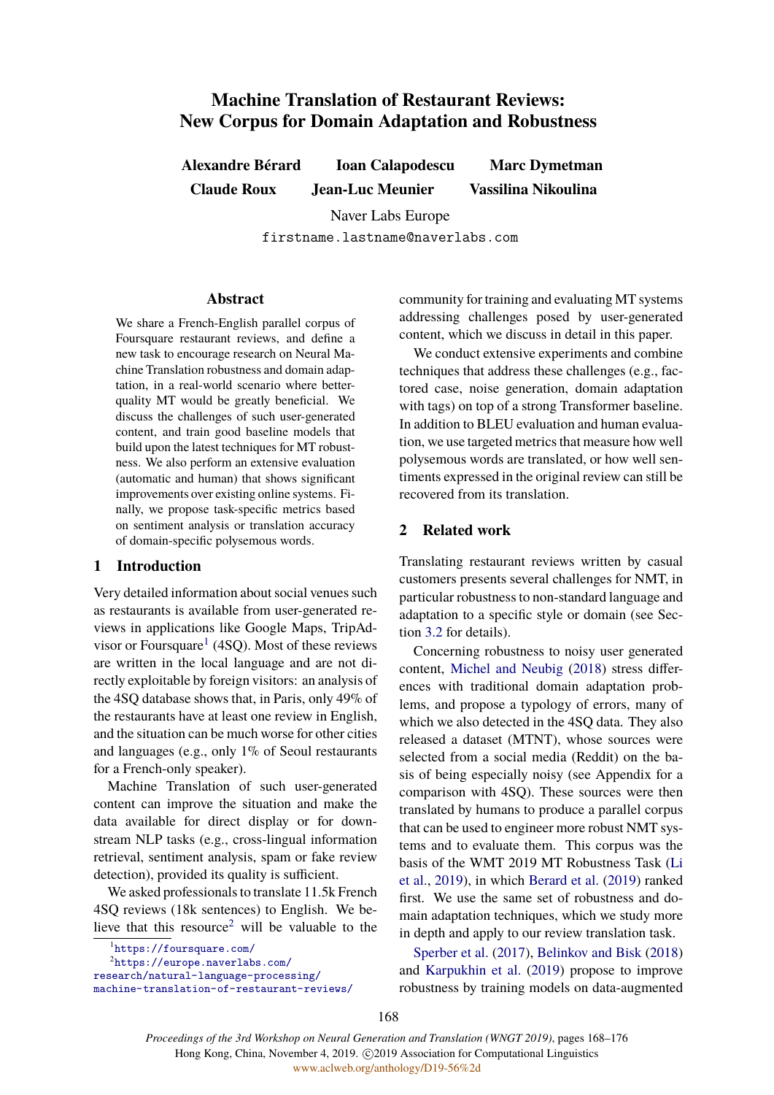# **Machine Translation of Restaurant Reviews: New Corpus for Domain Adaptation and Robustness**

**Alexandre Bérard Ioan Calapodescu Marc Dymetman Claude Roux Jean-Luc Meunier Vassilina Nikoulina**

> Naver Labs Europe firstname.lastname@naverlabs.com

### **Abstract**

We share a French-English parallel corpus of Foursquare restaurant reviews, and define a new task to encourage research on Neural Machine Translation robustness and domain adaptation, in a real-world scenario where betterquality MT would be greatly beneficial. We discuss the challenges of such user-generated content, and train good baseline models that build upon the latest techniques for MT robustness. We also perform an extensive evaluation (automatic and human) that shows significant improvements over existing online systems. Finally, we propose task-specific metrics based on sentiment analysis or translation accuracy of domain-specific polysemous words.

# **1 Introduction**

Very detailed information about social venues such as restaurants is available from user-generated reviews in applications like Google Maps, TripAdvisor or Foursquare<sup>1</sup> (4SQ). Most of these reviews are written in the local language and are not directly exploitable by foreign visitors: an analysis of the 4SQ database shows that, in Paris, only 49% of the restaurants have at least one review in English, and the situation can be much worse for other cities and languages (e.g., only 1% of Seoul restaurants for a French-only speaker).

Machine Translation of such user-generated content can improve the situation and make the data available for direct display or for downstream NLP tasks (e.g., cross-lingual information retrieval, sentiment analysis, spam or fake review detection), provided its quality is sufficient.

We asked professionals to translate 11.5k French 4SQ reviews (18k sentences) to English. We believe that this resource<sup>2</sup> will be valuable to the

1 <https://foursquare.com/>

2 [https://europe.naverlabs.com/](https://europe.naverlabs.com/research/natural-language-processing/machine-translation-of-restaurant-reviews/)

[research/natural-language-processing/](https://europe.naverlabs.com/research/natural-language-processing/machine-translation-of-restaurant-reviews/) [machine-translation-of-restaurant-reviews/](https://europe.naverlabs.com/research/natural-language-processing/machine-translation-of-restaurant-reviews/) community for training and evaluating MT systems addressing challenges posed by user-generated content, which we discuss in detail in this paper.

We conduct extensive experiments and combine techniques that address these challenges (e.g., factored case, noise generation, domain adaptation with tags) on top of a strong Transformer baseline. In addition to BLEU evaluation and human evaluation, we use targeted metrics that measure how well polysemous words are translated, or how well sentiments expressed in the original review can still be recovered from its translation.

# **2 Related work**

Translating restaurant reviews written by casual customers presents several challenges for NMT, in particular robustness to non-standard language and adaptation to a specific style or domain (see Section [3.2](#page-1-0) for details).

Concerning robustness to noisy user generated content, [Michel and Neubig](#page-8-0) [\(2018\)](#page-8-0) stress differences with traditional domain adaptation problems, and propose a typology of errors, many of which we also detected in the 4SO data. They also released a dataset (MTNT), whose sources were selected from a social media (Reddit) on the basis of being especially noisy (see Appendix for a comparison with 4SQ). These sources were then translated by humans to produce a parallel corpus that can be used to engineer more robust NMT systems and to evaluate them. This corpus was the basis of the WMT 2019 MT Robustness Task ([Li](#page-8-1) [et al.,](#page-8-1) [2019](#page-8-1)), in which [Berard et al.](#page-8-2) ([2019](#page-8-2)) ranked first. We use the same set of robustness and domain adaptation techniques, which we study more in depth and apply to our review translation task.

[Sperber et al.](#page-8-3) [\(2017](#page-8-3)), [Belinkov and Bisk](#page-8-4) [\(2018\)](#page-8-4) and [Karpukhin et al.](#page-8-5) ([2019\)](#page-8-5) propose to improve robustness by training models on data-augmented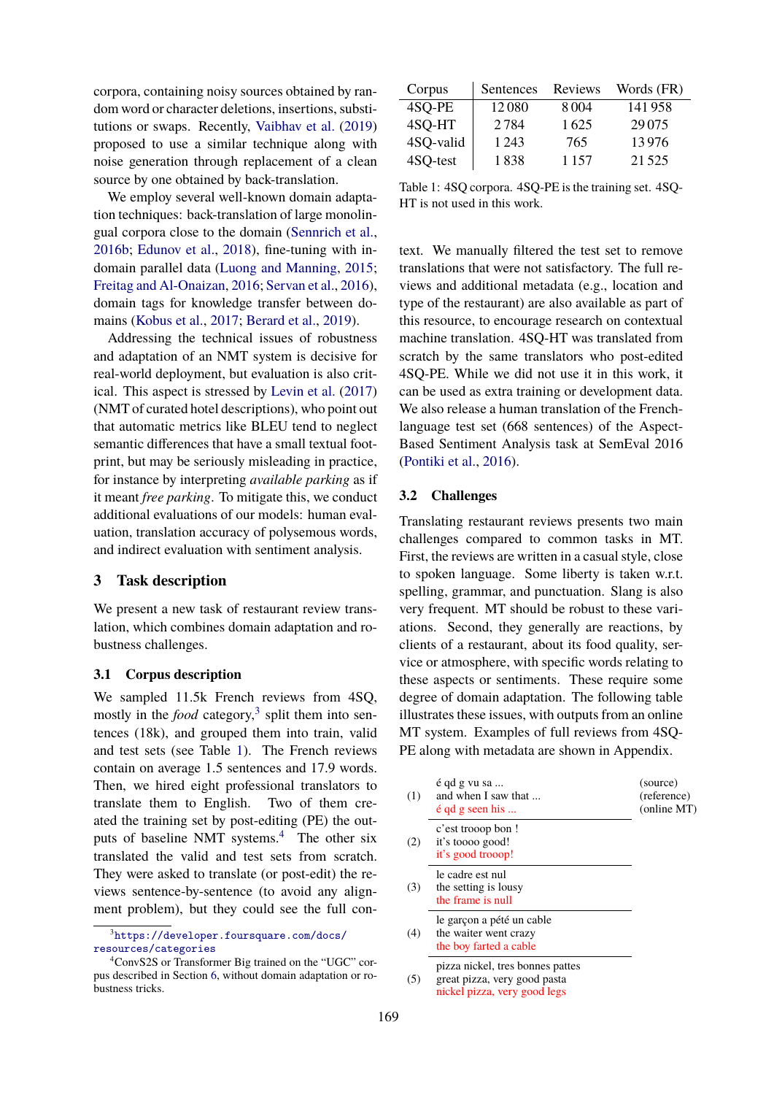corpora, containing noisy sources obtained by random word or character deletions, insertions, substitutions or swaps. Recently, [Vaibhav et al.](#page-8-6) ([2019\)](#page-8-6) proposed to use a similar technique along with noise generation through replacement of a clean source by one obtained by back-translation.

We employ several well-known domain adaptation techniques: back-translation of large monolingual corpora close to the domain ([Sennrich et al.,](#page-8-7) [2016b](#page-8-7); [Edunov et al.](#page-8-8), [2018](#page-8-8)), fine-tuning with indomain parallel data [\(Luong and Manning](#page-8-9), [2015](#page-8-9); [Freitag and Al-Onaizan](#page-8-10), [2016;](#page-8-10) [Servan et al.](#page-8-11), [2016\)](#page-8-11), domain tags for knowledge transfer between domains [\(Kobus et al.,](#page-8-12) [2017;](#page-8-12) [Berard et al.](#page-8-2), [2019](#page-8-2)).

Addressing the technical issues of robustness and adaptation of an NMT system is decisive for real-world deployment, but evaluation is also critical. This aspect is stressed by [Levin et al.](#page-8-13) ([2017\)](#page-8-13) (NMT of curated hotel descriptions), who point out that automatic metrics like BLEU tend to neglect semantic differences that have a small textual footprint, but may be seriously misleading in practice, for instance by interpreting *available parking* as if it meant *free parking*. To mitigate this, we conduct additional evaluations of our models: human evaluation, translation accuracy of polysemous words, and indirect evaluation with sentiment analysis.

# **3 Task description**

We present a new task of restaurant review translation, which combines domain adaptation and robustness challenges.

### **3.1 Corpus description**

We sampled 11.5k French reviews from 4SQ, mostly in the *food* category,<sup>3</sup> split them into sentences (18k), and grouped them into train, valid and test sets (see Table [1](#page-1-1)). The French reviews contain on average 1.5 sentences and 17.9 words. Then, we hired eight professional translators to translate them to English. Two of them created the training set by post-editing (PE) the outputs of baseline NMT systems.4 The other six translated the valid and test sets from scratch. They were asked to translate (or post-edit) the reviews sentence-by-sentence (to avoid any alignment problem), but they could see the full con-

<span id="page-1-1"></span>

| Corpus    | Sentences | Reviews | Words (FR) |
|-----------|-----------|---------|------------|
| 4SQ-PE    | 12080     | 8004    | 141958     |
| 4SQ-HT    | 2784      | 1625    | 29 0 75    |
| 4SQ-valid | 1 2 4 3   | 765     | 13976      |
| 4SQ-test  | 1838      | 1 1 5 7 | 21.525     |

Table 1: 4SQ corpora. 4SQ-PE is the training set. 4SQ-HT is not used in this work.

text. We manually filtered the test set to remove translations that were not satisfactory. The full reviews and additional metadata (e.g., location and type of the restaurant) are also available as part of this resource, to encourage research on contextual machine translation. 4SQ-HT was translated from scratch by the same translators who post-edited 4SQ-PE. While we did not use it in this work, it can be used as extra training or development data. We also release a human translation of the Frenchlanguage test set (668 sentences) of the Aspect-Based Sentiment Analysis task at SemEval 2016 ([Pontiki et al.](#page-8-14), [2016](#page-8-14)).

### <span id="page-1-0"></span>**3.2 Challenges**

Translating restaurant reviews presents two main challenges compared to common tasks in MT. First, the reviews are written in a casual style, close to spoken language. Some liberty is taken w.r.t. spelling, grammar, and punctuation. Slang is also very frequent. MT should be robust to these variations. Second, they generally are reactions, by clients of a restaurant, about its food quality, service or atmosphere, with specific words relating to these aspects or sentiments. These require some degree of domain adaptation. The following table illustrates these issues, with outputs from an online MT system. Examples of full reviews from 4SQ-PE along with metadata are shown in Appendix.

| (1) | é qd g vu sa<br>and when I saw that<br>$\acute{\rm e}$ qd g seen his                             | (source)<br>(reference)<br>(online MT) |
|-----|--------------------------------------------------------------------------------------------------|----------------------------------------|
| (2) | c'est trooop bon !<br>it's toooo good!<br>it's good trooop!                                      |                                        |
| (3) | le cadre est nul<br>the setting is lousy<br>the frame is null                                    |                                        |
| (4) | le garçon a pété un cable<br>the waiter went crazy<br>the boy farted a cable                     |                                        |
| (5) | pizza nickel, tres bonnes pattes<br>great pizza, very good pasta<br>nickel pizza, very good legs |                                        |

<sup>3</sup> [https://developer.foursquare.com/docs/](https://developer.foursquare.com/docs/resources/categories) [resources/categories](https://developer.foursquare.com/docs/resources/categories)

<sup>4</sup>ConvS2S or Transformer Big trained on the "UGC" corpus described in Section [6,](#page-4-0) without domain adaptation or robustness tricks.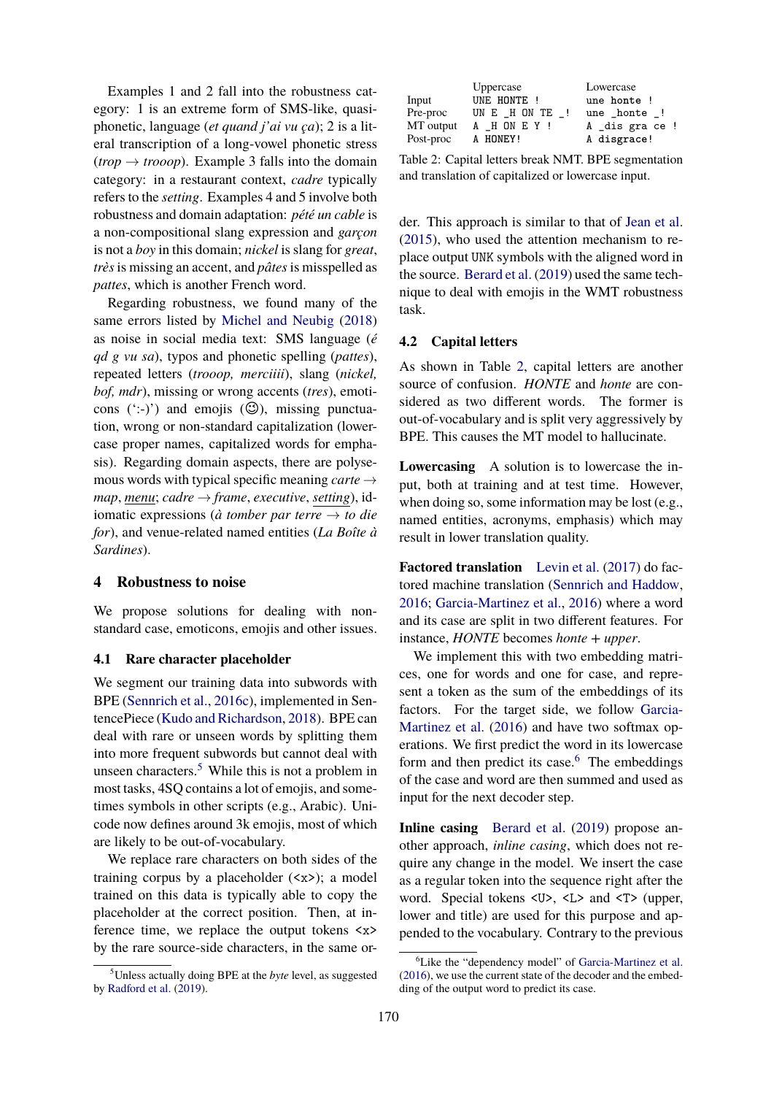Examples 1 and 2 fall into the robustness category: 1 is an extreme form of SMS-like, quasiphonetic, language (*et quand j'ai vu ça*); 2 is a literal transcription of a long-vowel phonetic stress  $(trop \rightarrow trooop)$ . Example 3 falls into the domain category: in a restaurant context, *cadre* typically refers to the *setting*. Examples 4 and 5 involve both robustness and domain adaptation: *pété un cable* is a non-compositional slang expression and *garçon* is not a *boy* in this domain; *nickel* is slang for *great*, *très*is missing an accent, and *pâtes*is misspelled as *pattes*, which is another French word.

Regarding robustness, we found many of the same errors listed by [Michel and Neubig](#page-8-0) ([2018\)](#page-8-0) as noise in social media text: SMS language (*é qd g vu sa*), typos and phonetic spelling (*pattes*), repeated letters (*trooop, merciiii*), slang (*nickel, bof, mdr*), missing or wrong accents (*tres*), emoticons  $(\cdot;\cdot)$  and emojis  $(\mathbb{G})$ , missing punctuation, wrong or non-standard capitalization (lowercase proper names, capitalized words for emphasis). Regarding domain aspects, there are polysemous words with typical specific meaning *carte → map*, *menu*; *cadre → frame*, *executive*, *setting*), idiomatic expressions (*à tomber par terre → to die for*), and venue-related named entities (*La Boîte à Sardines*).

### **4 Robustness to noise**

We propose solutions for dealing with nonstandard case, emoticons, emojis and other issues.

# <span id="page-2-2"></span>**4.1 Rare character placeholder**

We segment our training data into subwords with BPE ([Sennrich et al.,](#page-8-15) [2016c\)](#page-8-15), implemented in SentencePiece [\(Kudo and Richardson](#page-8-16), [2018\)](#page-8-16). BPE can deal with rare or unseen words by splitting them into more frequent subwords but cannot deal with unseen characters.<sup>5</sup> While this is not a problem in most tasks, 4SQ contains a lot of emojis, and sometimes symbols in other scripts (e.g., Arabic). Unicode now defines around 3k emojis, most of which are likely to be out-of-vocabulary.

We replace rare characters on both sides of the training corpus by a placeholder  $(\langle x \rangle)$ ; a model trained on this data is typically able to copy the placeholder at the correct position. Then, at inference time, we replace the output tokens <x> by the rare source-side characters, in the same or-

<span id="page-2-0"></span>

|           | Uppercase                 | Lowercase      |
|-----------|---------------------------|----------------|
| Input     | UNE HONTE!                | une honte !    |
| Pre-proc  | UNE HONTE<br>$\mathbf{I}$ | une honte !    |
| MT output | A HONEY!                  | A dis gra ce ! |
| Post-proc | A HONEY!                  | A disgrace!    |

Table 2: Capital letters break NMT. BPE segmentation and translation of capitalized or lowercase input.

der. This approach is similar to that of [Jean et al.](#page-8-18) ([2015\)](#page-8-18), who used the attention mechanism to replace output UNK symbols with the aligned word in the source. [Berard et al.](#page-8-2) ([2019\)](#page-8-2) used the same technique to deal with emojis in the WMT robustness task.

### <span id="page-2-1"></span>**4.2 Capital letters**

As shown in Table [2](#page-2-0), capital letters are another source of confusion. *HONTE* and *honte* are considered as two different words. The former is out-of-vocabulary and is split very aggressively by BPE. This causes the MT model to hallucinate.

**Lowercasing** A solution is to lowercase the input, both at training and at test time. However, when doing so, some information may be lost (e.g., named entities, acronyms, emphasis) which may result in lower translation quality.

**Factored translation** [Levin et al.](#page-8-13) ([2017](#page-8-13)) do factored machine translation [\(Sennrich and Haddow,](#page-8-19) [2016](#page-8-19); [Garcia-Martinez et al.,](#page-8-20) [2016](#page-8-20)) where a word and its case are split in two different features. For instance, *HONTE* becomes *honte + upper*.

We implement this with two embedding matrices, one for words and one for case, and represent a token as the sum of the embeddings of its factors. For the target side, we follow [Garcia-](#page-8-20)[Martinez et al.](#page-8-20) [\(2016](#page-8-20)) and have two softmax operations. We first predict the word in its lowercase form and then predict its case. $6$  The embeddings of the case and word are then summed and used as input for the next decoder step.

**Inline casing** [Berard et al.](#page-8-2) [\(2019](#page-8-2)) propose another approach, *inline casing*, which does not require any change in the model. We insert the case as a regular token into the sequence right after the word. Special tokens  $\langle U \rangle$ ,  $\langle L \rangle$  and  $\langle T \rangle$  (upper, lower and title) are used for this purpose and appended to the vocabulary. Contrary to the previous

<sup>5</sup>Unless actually doing BPE at the *byte* level, as suggested by [Radford et al.](#page-8-17) ([2019\)](#page-8-17).

<sup>&</sup>lt;sup>6</sup>Like the "dependency model" of [Garcia-Martinez et al.](#page-8-20) [\(2016](#page-8-20)), we use the current state of the decoder and the embedding of the output word to predict its case.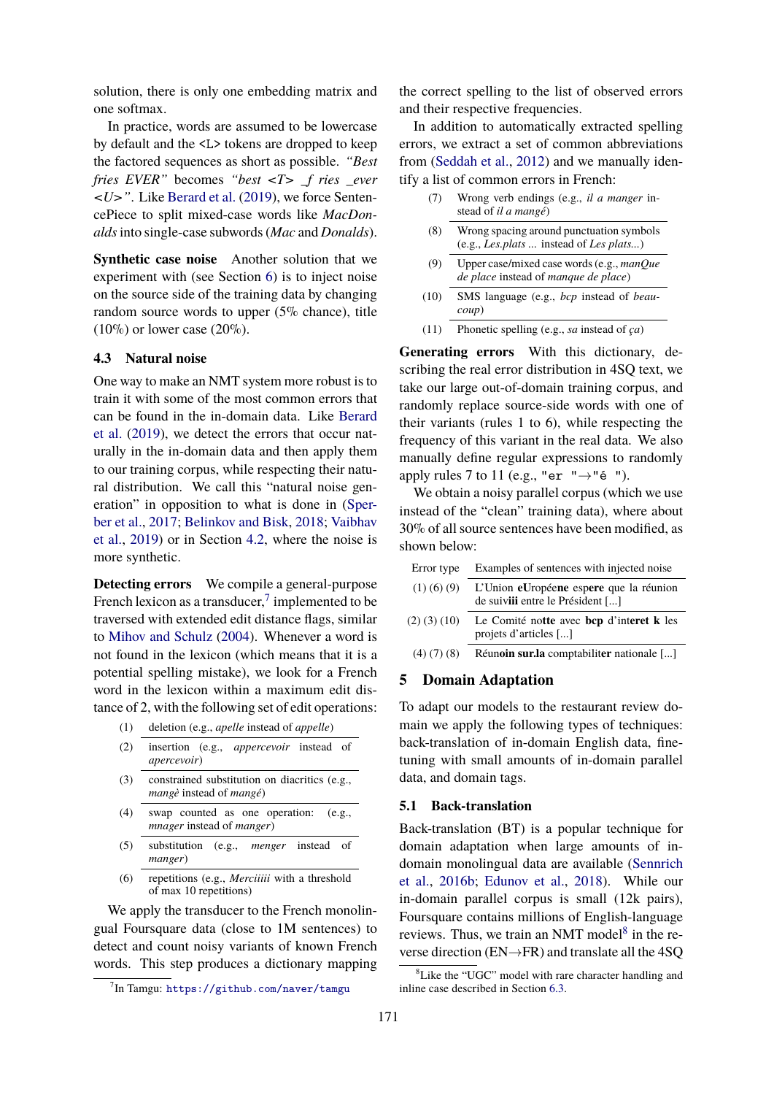solution, there is only one embedding matrix and one softmax.

In practice, words are assumed to be lowercase by default and the <L> tokens are dropped to keep the factored sequences as short as possible. *"Best fries EVER"* becomes *"best <T> \_f ries \_ever <U>"*. Like [Berard et al.](#page-8-2) ([2019](#page-8-2)), we force SentencePiece to split mixed-case words like *MacDonalds*into single-case subwords (*Mac* and *Donalds*).

**Synthetic case noise** Another solution that we experiment with (see Section [6\)](#page-4-0) is to inject noise on the source side of the training data by changing random source words to upper (5% chance), title  $(10\%)$  or lower case  $(20\%).$ 

#### <span id="page-3-0"></span>**4.3 Natural noise**

One way to make an NMT system more robust is to train it with some of the most common errors that can be found in the in-domain data. Like [Berard](#page-8-2) [et al.](#page-8-2) [\(2019](#page-8-2)), we detect the errors that occur naturally in the in-domain data and then apply them to our training corpus, while respecting their natural distribution. We call this "natural noise generation" in opposition to what is done in [\(Sper](#page-8-3)[ber et al.](#page-8-3), [2017](#page-8-3); [Belinkov and Bisk](#page-8-4), [2018](#page-8-4); [Vaibhav](#page-8-6) [et al.,](#page-8-6) [2019\)](#page-8-6) or in Section [4.2](#page-2-1), where the noise is more synthetic.

**Detecting errors** We compile a general-purpose French lexicon as a transducer, $\frac{7}{1}$  implemented to be traversed with extended edit distance flags, similar to [Mihov and Schulz](#page-8-21) [\(2004](#page-8-21)). Whenever a word is not found in the lexicon (which means that it is a potential spelling mistake), we look for a French word in the lexicon within a maximum edit distance of 2, with the following set of edit operations:

- (1) deletion (e.g., *apelle* instead of *appelle*)
- (2) insertion (e.g., *appercevoir* instead of *apercevoir*)
- (3) constrained substitution on diacritics (e.g., *mangè* instead of *mangé*)
- (4) swap counted as one operation: (e.g., *mnager* instead of *manger*)
- (5) substitution (e.g., *menger* instead of *manger*)
- (6) repetitions (e.g., *Merciiiii* with a threshold of max 10 repetitions)

We apply the transducer to the French monolingual Foursquare data (close to 1M sentences) to detect and count noisy variants of known French words. This step produces a dictionary mapping the correct spelling to the list of observed errors and their respective frequencies.

In addition to automatically extracted spelling errors, we extract a set of common abbreviations from [\(Seddah et al.,](#page-8-22) [2012](#page-8-22)) and we manually identify a list of common errors in French:

- (7) Wrong verb endings (e.g., *il a manger* instead of *il a mangé*)
- (8) Wrong spacing around punctuation symbols (e.g., *Les.plats ...* instead of *Les plats...*)
- (9) Upper case/mixed case words (e.g., *manQue de place* instead of *manque de place*)
- (10) SMS language (e.g., *bcp* instead of *beaucoup*)
- (11) Phonetic spelling (e.g., *sa* instead of *ça*)

**Generating errors** With this dictionary, describing the real error distribution in 4SQ text, we take our large out-of-domain training corpus, and randomly replace source-side words with one of their variants (rules 1 to 6), while respecting the frequency of this variant in the real data. We also manually define regular expressions to randomly apply rules 7 to 11 (e.g., "er "*→*"é ").

We obtain a noisy parallel corpus (which we use instead of the "clean" training data), where about 30% of all source sentences have been modified, as shown below:

| Error type         | Examples of sentences with injected noise                                  |
|--------------------|----------------------------------------------------------------------------|
| $(1)$ (6) (9)      | L'Union eUropéene espere que la réunion<br>de suivilientre le Président [] |
| $(2)$ $(3)$ $(10)$ | Le Comité notte avec bcp d'interet k les<br>projets d'articles []          |
| $(4)$ $(7)$ $(8)$  | Réunoin sur la comptabiliter nationale []                                  |

# <span id="page-3-1"></span>**5 Domain Adaptation**

To adapt our models to the restaurant review domain we apply the following types of techniques: back-translation of in-domain English data, finetuning with small amounts of in-domain parallel data, and domain tags.

### <span id="page-3-2"></span>**5.1 Back-translation**

Back-translation (BT) is a popular technique for domain adaptation when large amounts of indomain monolingual data are available ([Sennrich](#page-8-7) [et al.](#page-8-7), [2016b](#page-8-7); [Edunov et al.](#page-8-8), [2018\)](#page-8-8). While our in-domain parallel corpus is small (12k pairs), Foursquare contains millions of English-language reviews. Thus, we train an NMT model<sup>8</sup> in the reverse direction (EN*→*FR) and translate all the 4SQ

 ${\rm^7In}$  Tamgu: <https://github.com/naver/tamgu>

<sup>&</sup>lt;sup>8</sup>Like the "UGC" model with rare character handling and inline case described in Section [6.3.](#page-5-0)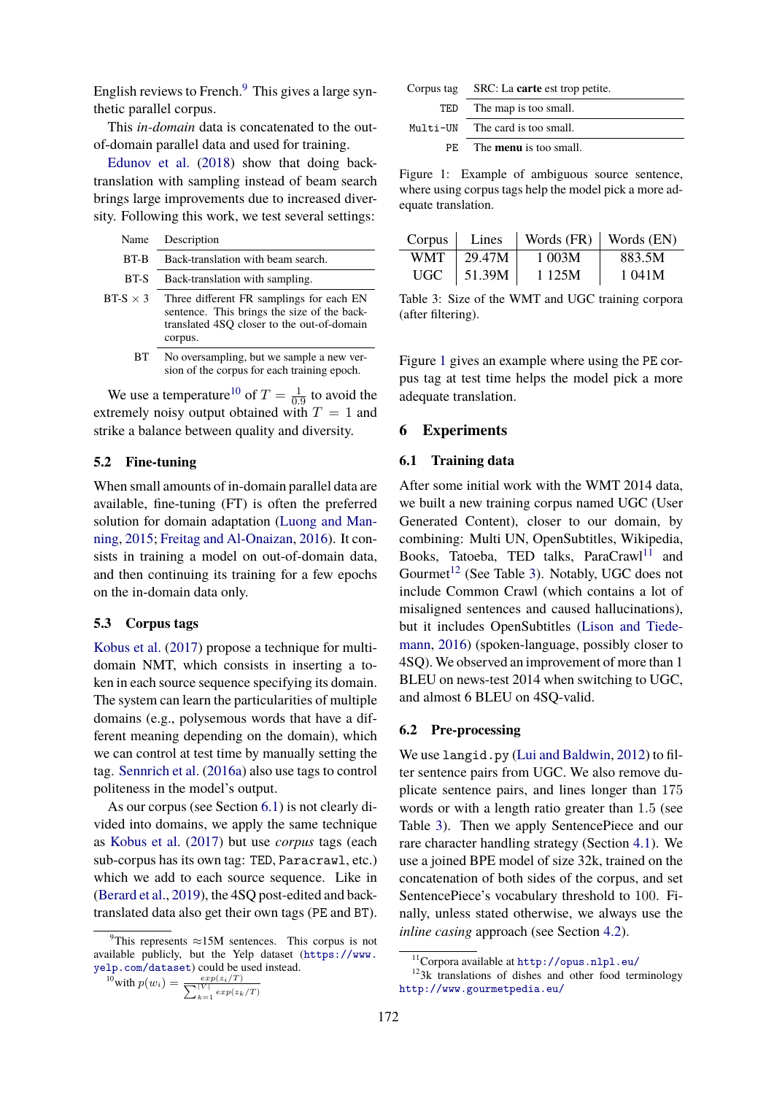English reviews to French. $9$  This gives a large synthetic parallel corpus.

This *in-domain* data is concatenated to the outof-domain parallel data and used for training.

[Edunov et al.](#page-8-8) [\(2018](#page-8-8)) show that doing backtranslation with sampling instead of beam search brings large improvements due to increased diversity. Following this work, we test several settings:

|                 | Name Description                                                                                                                      |
|-----------------|---------------------------------------------------------------------------------------------------------------------------------------|
| BT-B            | Back-translation with beam search.                                                                                                    |
| BT-S            | Back-translation with sampling.                                                                                                       |
| BT-S $\times$ 3 | Three different FR samplings for each EN<br>sentence. This brings the size of the back-<br>translated 4SO closer to the out-of-domain |

corpus. BT No oversampling, but we sample a new ver-

sion of the corpus for each training epoch.

We use a temperature<sup>10</sup> of  $T = \frac{1}{0}$  $\frac{1}{0.9}$  to avoid the extremely noisy output obtained with  $T = 1$  and strike a balance between quality and diversity.

# **5.2 Fine-tuning**

When small amounts of in-domain parallel data are available, fine-tuning (FT) is often the preferred solution for domain adaptation [\(Luong and Man](#page-8-9)[ning](#page-8-9), [2015](#page-8-9); [Freitag and Al-Onaizan](#page-8-10), [2016](#page-8-10)). It consists in training a model on out-of-domain data, and then continuing its training for a few epochs on the in-domain data only.

#### **5.3 Corpus tags**

[Kobus et al.](#page-8-12) ([2017](#page-8-12)) propose a technique for multidomain NMT, which consists in inserting a token in each source sequence specifying its domain. The system can learn the particularities of multiple domains (e.g., polysemous words that have a different meaning depending on the domain), which we can control at test time by manually setting the tag. [Sennrich et al.](#page-8-23) [\(2016a](#page-8-23)) also use tags to control politeness in the model's output.

As our corpus (see Section [6.1\)](#page-4-1) is not clearly divided into domains, we apply the same technique as [Kobus et al.](#page-8-12) ([2017](#page-8-12)) but use *corpus* tags (each sub-corpus has its own tag: TED, Paracrawl, etc.) which we add to each source sequence. Like in ([Berard et al.,](#page-8-2) [2019](#page-8-2)), the 4SQ post-edited and backtranslated data also get their own tags (PE and BT).

$$
\frac{10}{2} \text{with } p(w_i) = \frac{\exp(z_i/T)}{\sum_{k=1}^{|V|} \exp(z_k/T)}
$$

<span id="page-4-2"></span>

|     | Corpus tag SRC: La carte est trop petite. |
|-----|-------------------------------------------|
| TED | The map is too small.                     |
|     | Multi-UN The card is too small.           |
|     | PE The <b>menu</b> is too small.          |

Figure 1: Example of ambiguous source sentence, where using corpus tags help the model pick a more adequate translation.

<span id="page-4-3"></span>

| Corpus     | Lines          |        | Words $(FR)$   Words $(EN)$ |
|------------|----------------|--------|-----------------------------|
| <b>WMT</b> | 29.47M         | 1 003M | 883.5M                      |
| UGC -      | $\vert$ 51.39M | 1 125M | 1 041M                      |

Table 3: Size of the WMT and UGC training corpora (after filtering).

Figure [1](#page-4-2) gives an example where using the PE corpus tag at test time helps the model pick a more adequate translation.

### <span id="page-4-0"></span>**6 Experiments**

# <span id="page-4-1"></span>**6.1 Training data**

After some initial work with the WMT 2014 data, we built a new training corpus named UGC (User Generated Content), closer to our domain, by combining: Multi UN, OpenSubtitles, Wikipedia, Books, Tatoeba, TED talks, ParaCrawl<sup>11</sup> and Gourmet<sup>12</sup> (See Table [3](#page-4-3)). Notably, UGC does not include Common Crawl (which contains a lot of misaligned sentences and caused hallucinations), but it includes OpenSubtitles [\(Lison and Tiede](#page-8-24)[mann,](#page-8-24) [2016](#page-8-24)) (spoken-language, possibly closer to 4SQ). We observed an improvement of more than 1 BLEU on news-test 2014 when switching to UGC, and almost 6 BLEU on 4SQ-valid.

# **6.2 Pre-processing**

We use langid.py ([Lui and Baldwin,](#page-8-25) [2012](#page-8-25)) to filter sentence pairs from UGC. We also remove duplicate sentence pairs, and lines longer than 175 words or with a length ratio greater than 1*.*5 (see Table [3\)](#page-4-3). Then we apply SentencePiece and our rare character handling strategy (Section [4.1\)](#page-2-2). We use a joined BPE model of size 32k, trained on the concatenation of both sides of the corpus, and set SentencePiece's vocabulary threshold to 100. Finally, unless stated otherwise, we always use the *inline casing* approach (see Section [4.2\)](#page-2-1).

<sup>9</sup>This represents *<sup>≈</sup>*15M sentences. This corpus is not available publicly, but the Yelp dataset ([https://www.](https://www.yelp.com/dataset) [yelp.com/dataset](https://www.yelp.com/dataset)) could be used instead.

<sup>11</sup>Corpora available at <http://opus.nlpl.eu/>

 $123k$  translations of dishes and other food terminology <http://www.gourmetpedia.eu/>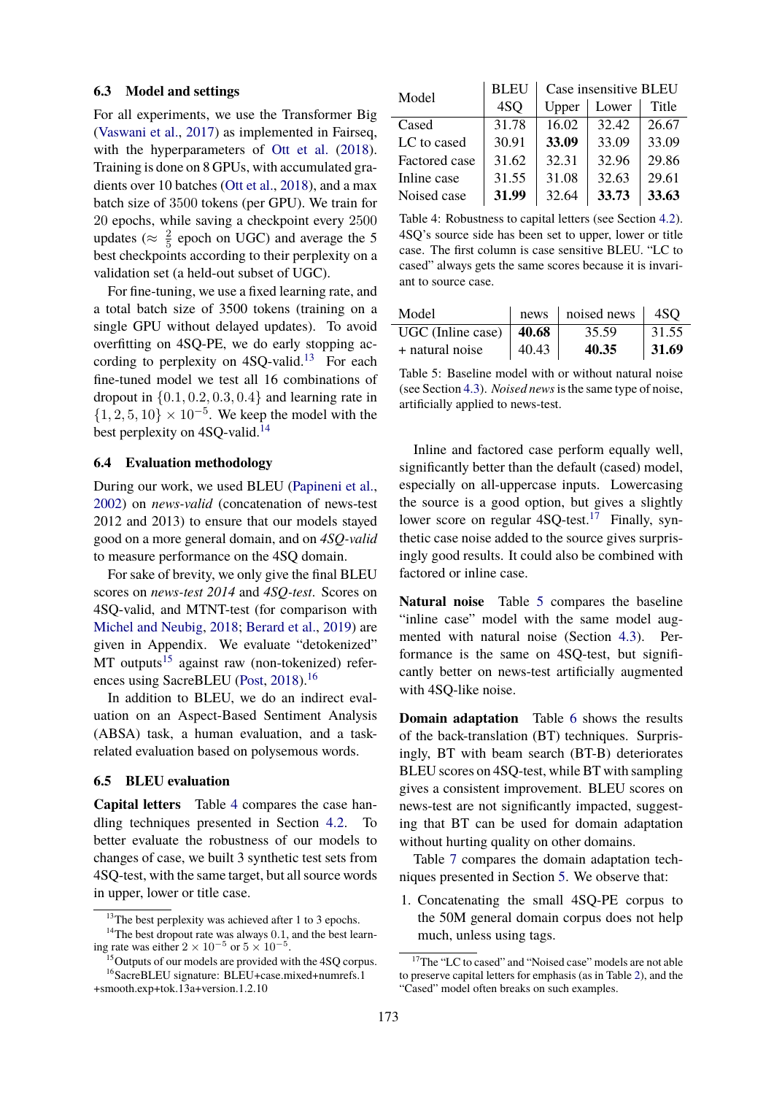### <span id="page-5-0"></span>**6.3 Model and settings**

For all experiments, we use the Transformer Big ([Vaswani et al.](#page-8-26), [2017](#page-8-26)) as implemented in Fairseq, with the hyperparameters of [Ott et al.](#page-8-27)  $(2018)$ . Training is done on 8 GPUs, with accumulated gradients over 10 batches [\(Ott et al.](#page-8-27), [2018](#page-8-27)), and a max batch size of 3500 tokens (per GPU). We train for 20 epochs, while saving a checkpoint every 2500 updates ( $\approx \frac{2}{5}$  $\frac{2}{5}$  epoch on UGC) and average the 5 best checkpoints according to their perplexity on a validation set (a held-out subset of UGC).

For fine-tuning, we use a fixed learning rate, and a total batch size of 3500 tokens (training on a single GPU without delayed updates). To avoid overfitting on 4SQ-PE, we do early stopping according to perplexity on  $4SQ$ -valid.<sup>13</sup> For each fine-tuned model we test all 16 combinations of dropout in *{*0*.*1*,* 0*.*2*,* 0*.*3*,* 0*.*4*}* and learning rate in *{*1*,* 2*,* 5*,* 10*} ×* 10*−*<sup>5</sup> . We keep the model with the best perplexity on 4SQ-valid.<sup>14</sup>

# **6.4 Evaluation methodology**

During our work, we used BLEU [\(Papineni et al.,](#page-8-28) [2002\)](#page-8-28) on *news-valid* (concatenation of news-test 2012 and 2013) to ensure that our models stayed good on a more general domain, and on *4SQ-valid* to measure performance on the 4SQ domain.

For sake of brevity, we only give the final BLEU scores on *news-test 2014* and *4SQ-test*. Scores on 4SQ-valid, and MTNT-test (for comparison with [Michel and Neubig](#page-8-0), [2018](#page-8-0); [Berard et al.](#page-8-2), [2019](#page-8-2)) are given in Appendix. We evaluate "detokenized"  $MT$  outputs<sup>15</sup> against raw (non-tokenized) refer-ences using SacreBLEU [\(Post,](#page-8-29) [2018](#page-8-29)).<sup>16</sup>

In addition to BLEU, we do an indirect evaluation on an Aspect-Based Sentiment Analysis (ABSA) task, a human evaluation, and a taskrelated evaluation based on polysemous words.

### **6.5 BLEU evaluation**

**Capital letters** Table [4](#page-5-1) compares the case handling techniques presented in Section [4.2.](#page-2-1) To better evaluate the robustness of our models to changes of case, we built 3 synthetic test sets from 4SQ-test, with the same target, but all source words in upper, lower or title case.

<sup>&</sup>lt;sup>15</sup>Outputs of our models are provided with the 4SQ corpus. <sup>16</sup>SacreBLEU signature: BLEU+case.mixed+numrefs.1

<span id="page-5-1"></span>

| Model         | <b>BLEU</b> | Case insensitive BLEU |       |       |
|---------------|-------------|-----------------------|-------|-------|
|               | 4SQ         | Upper                 | Lower | Title |
| Cased         | 31.78       | 16.02                 | 32.42 | 26.67 |
| LC to cased   | 30.91       | 33.09                 | 33.09 | 33.09 |
| Factored case | 31.62       | 32.31                 | 32.96 | 29.86 |
| Inline case   | 31.55       | 31.08                 | 32.63 | 29.61 |
| Noised case   | 31.99       | 32.64                 | 33.73 | 33.63 |

Table 4: Robustness to capital letters (see Section [4.2\)](#page-2-1). 4SQ's source side has been set to upper, lower or title case. The first column is case sensitive BLEU. "LC to cased" always gets the same scores because it is invariant to source case.

<span id="page-5-2"></span>

| Model                             |                 | news $\vert$ noised news $\vert$ 4SQ |       |
|-----------------------------------|-----------------|--------------------------------------|-------|
| UGC (Inline case) $ 40.68\rangle$ |                 | 35.59                                | 31.55 |
| + natural noise                   | $ 40.43\rangle$ | 40.35                                | 31.69 |

Table 5: Baseline model with or without natural noise (see Section [4.3](#page-3-0)). *Noised news*is the same type of noise, artificially applied to news-test.

Inline and factored case perform equally well, significantly better than the default (cased) model, especially on all-uppercase inputs. Lowercasing the source is a good option, but gives a slightly lower score on regular  $4SO$ -test.<sup>17</sup> Finally, synthetic case noise added to the source gives surprisingly good results. It could also be combined with factored or inline case.

**Natural noise** Table [5](#page-5-2) compares the baseline "inline case" model with the same model augmented with natural noise (Section [4.3\)](#page-3-0). Performance is the same on 4SQ-test, but significantly better on news-test artificially augmented with 4SQ-like noise.

**Domain adaptation** Table [6](#page-6-0) shows the results of the back-translation (BT) techniques. Surprisingly, BT with beam search (BT-B) deteriorates BLEU scores on 4SQ-test, while BT with sampling gives a consistent improvement. BLEU scores on news-test are not significantly impacted, suggesting that BT can be used for domain adaptation without hurting quality on other domains.

Table [7](#page-6-1) compares the domain adaptation techniques presented in Section [5](#page-3-1). We observe that:

1. Concatenating the small 4SQ-PE corpus to the 50M general domain corpus does not help much, unless using tags.

<sup>&</sup>lt;sup>13</sup>The best perplexity was achieved after 1 to 3 epochs.

<sup>&</sup>lt;sup>14</sup>The best dropout rate was always 0.1, and the best learning rate was either  $2 \times 10^{-5}$  or  $5 \times 10^{-5}$ .

<sup>&</sup>lt;sup>17</sup>The "LC to cased" and "Noised case" models are not able to preserve capital letters for emphasis (as in Table [2\)](#page-2-0), and the "Cased" model often breaks on such examples.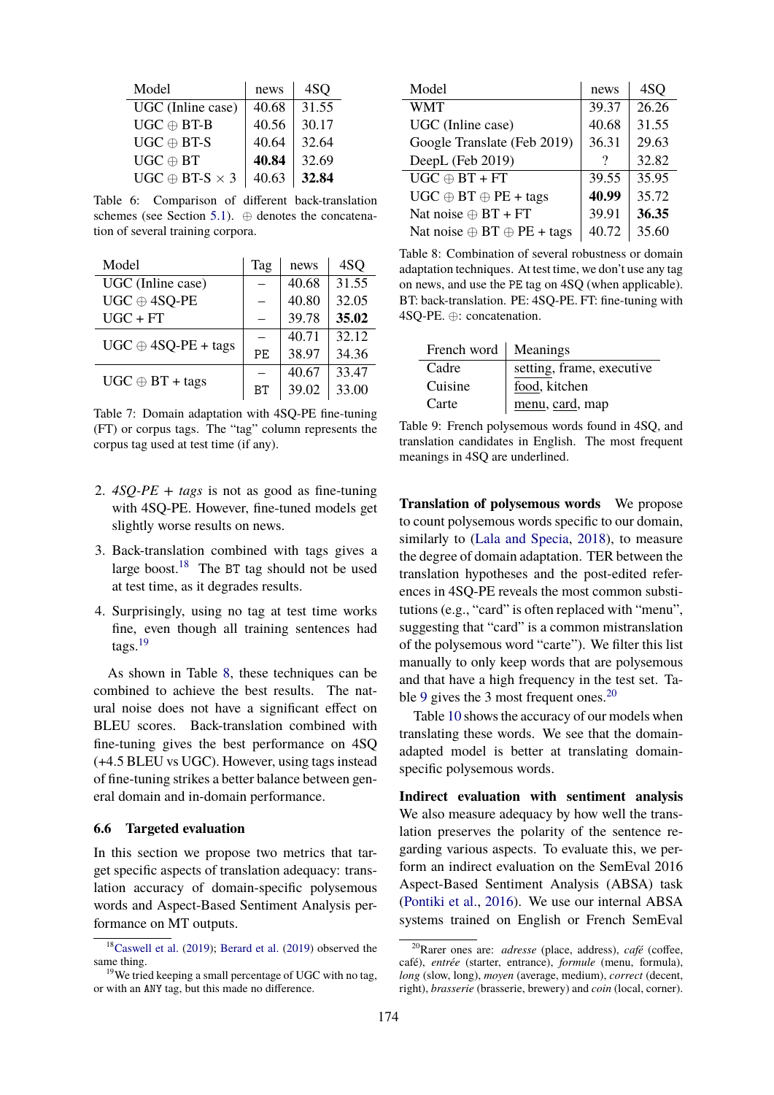<span id="page-6-0"></span>

| Model                      | news  | 4SQ   |
|----------------------------|-------|-------|
| UGC (Inline case)          | 40.68 | 31.55 |
| $UGC \oplus BT-B$          | 40.56 | 30.17 |
| $UGC \oplus BT-S$          | 40.64 | 32.64 |
| $UGC \oplus BT$            | 40.84 | 32.69 |
| $UGC \oplus BT-S \times 3$ | 40.63 | 32.84 |

Table 6: Comparison of different back-translation schemes (see Section [5.1](#page-3-2)). *⊕* denotes the concatenation of several training corpora.

<span id="page-6-1"></span>

| Model                      | Tag | news  | 4SQ   |
|----------------------------|-----|-------|-------|
| UGC (Inline case)          |     | 40.68 | 31.55 |
| $UGC \oplus 4SQ-PE$        |     | 40.80 | 32.05 |
| $UGC + FT$                 |     | 39.78 | 35.02 |
| $UGC \oplus 4SQ-PE + tags$ |     | 40.71 | 32.12 |
|                            | PE  | 38.97 | 34.36 |
| $UGC \oplus BT + tags$     |     | 40.67 | 33.47 |
|                            | BТ  | 39.02 | 33.00 |

Table 7: Domain adaptation with 4SQ-PE fine-tuning (FT) or corpus tags. The "tag" column represents the corpus tag used at test time (if any).

- 2. *4SQ-PE + tags* is not as good as fine-tuning with 4SQ-PE. However, fine-tuned models get slightly worse results on news.
- 3. Back-translation combined with tags gives a large boost.<sup>18</sup> The BT tag should not be used at test time, as it degrades results.
- 4. Surprisingly, using no tag at test time works fine, even though all training sentences had tags. $19$

As shown in Table [8](#page-6-2), these techniques can be combined to achieve the best results. The natural noise does not have a significant effect on BLEU scores. Back-translation combined with fine-tuning gives the best performance on 4SQ (+4.5 BLEU vs UGC). However, using tags instead of fine-tuning strikes a better balance between general domain and in-domain performance.

#### **6.6 Targeted evaluation**

In this section we propose two metrics that target specific aspects of translation adequacy: translation accuracy of domain-specific polysemous words and Aspect-Based Sentiment Analysis performance on MT outputs.

<span id="page-6-2"></span>

| Model                                    | news  | 4SQ   |
|------------------------------------------|-------|-------|
| <b>WMT</b>                               | 39.37 | 26.26 |
| UGC (Inline case)                        | 40.68 | 31.55 |
| Google Translate (Feb 2019)              | 36.31 | 29.63 |
| DeepL (Feb 2019)                         |       | 32.82 |
| $UGC \oplus BT + FT$                     | 39.55 | 35.95 |
| $UGC \oplus BT \oplus PE + tags$         | 40.99 | 35.72 |
| Nat noise $\oplus$ BT + FT               | 39.91 | 36.35 |
| Nat noise $\oplus$ BT $\oplus$ PE + tags | 40.72 | 35.60 |

Table 8: Combination of several robustness or domain adaptation techniques. At test time, we don't use any tag on news, and use the PE tag on 4SQ (when applicable). BT: back-translation. PE: 4SQ-PE. FT: fine-tuning with 4SQ-PE. *⊕*: concatenation.

<span id="page-6-3"></span>

| French word   Meanings |                           |
|------------------------|---------------------------|
| Cadre                  | setting, frame, executive |
| Cuisine                | food, kitchen             |
| Carte                  | menu, card, map           |

Table 9: French polysemous words found in 4SQ, and translation candidates in English. The most frequent meanings in 4SQ are underlined.

**Translation of polysemous words** We propose to count polysemous words specific to our domain, similarly to ([Lala and Specia,](#page-8-31) [2018](#page-8-31)), to measure the degree of domain adaptation. TER between the translation hypotheses and the post-edited references in 4SQ-PE reveals the most common substitutions (e.g., "card" is often replaced with "menu", suggesting that "card" is a common mistranslation of the polysemous word "carte"). We filter this list manually to only keep words that are polysemous and that have a high frequency in the test set. Ta-ble [9](#page-6-3) gives the 3 most frequent ones.<sup>20</sup>

Table [10](#page-7-0) shows the accuracy of our models when translating these words. We see that the domainadapted model is better at translating domainspecific polysemous words.

**Indirect evaluation with sentiment analysis** We also measure adequacy by how well the translation preserves the polarity of the sentence regarding various aspects. To evaluate this, we perform an indirect evaluation on the SemEval 2016 Aspect-Based Sentiment Analysis (ABSA) task ([Pontiki et al.](#page-8-14), [2016](#page-8-14)). We use our internal ABSA systems trained on English or French SemEval

<sup>18</sup>[Caswell et al.](#page-8-30) [\(2019](#page-8-30)); [Berard et al.](#page-8-2) ([2019](#page-8-2)) observed the same thing.

 $19$ We tried keeping a small percentage of UGC with no tag, or with an ANY tag, but this made no difference.

<sup>20</sup>Rarer ones are: *adresse* (place, address), *café* (coffee, café), *entrée* (starter, entrance), *formule* (menu, formula), *long* (slow, long), *moyen* (average, medium), *correct* (decent, right), *brasserie* (brasserie, brewery) and *coin* (local, corner).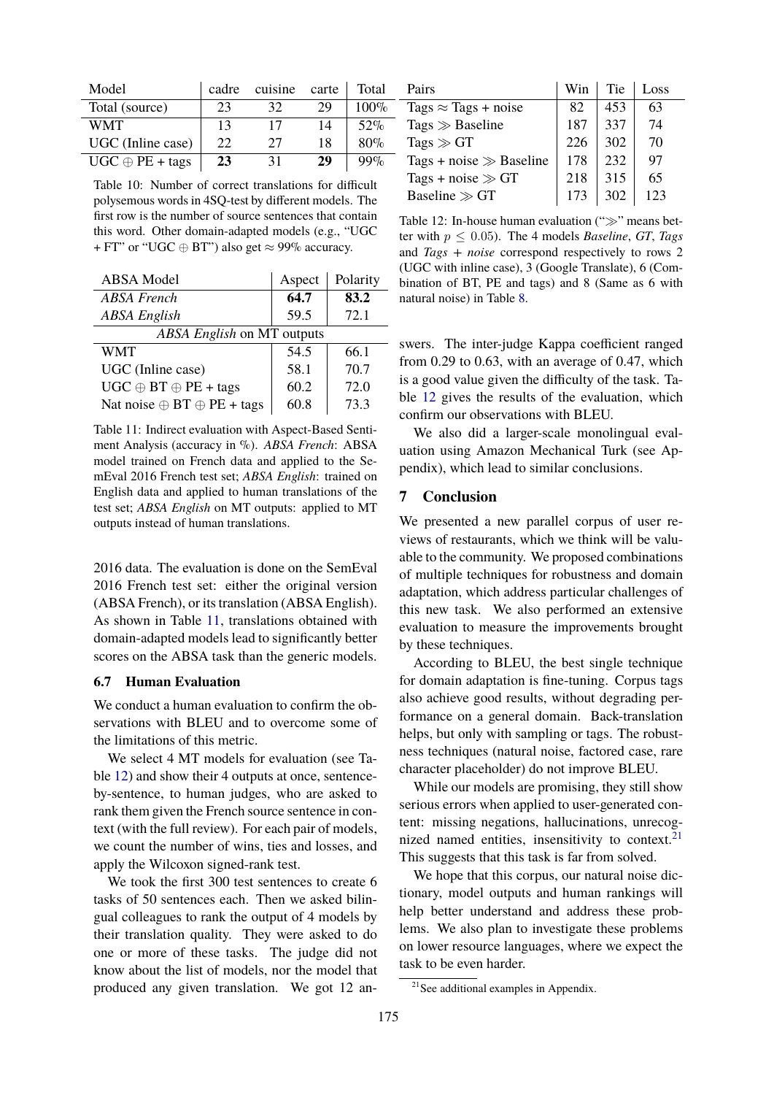<span id="page-7-0"></span>

| Model                  | cadre | cuisine | carte | Total   |
|------------------------|-------|---------|-------|---------|
| Total (source)         | 23    | 32      | 29    | $100\%$ |
| WMT                    | 13    | 17      | 14    | 52%     |
| UGC (Inline case)      | 22    | 27      | 18    | 80%     |
| $UGC \oplus PE + tags$ | 23    | 31      | 29    | $99\%$  |

Table 10: Number of correct translations for difficult polysemous words in 4SQ-test by different models. The first row is the number of source sentences that contain this word. Other domain-adapted models (e.g., "UGC + FT" or "UGC *⊕* BT") also get *≈* 99% accuracy.

<span id="page-7-1"></span>

| <b>ABSA</b> Model                        | Aspect | Polarity |  |  |
|------------------------------------------|--------|----------|--|--|
| <b>ABSA</b> French                       | 64.7   | 83.2     |  |  |
| <b>ABSA</b> English                      | 59.5   | 72.1     |  |  |
| ABSA English on MT outputs               |        |          |  |  |
| <b>WMT</b>                               | 54.5   | 66.1     |  |  |
| UGC (Inline case)                        | 58.1   | 70.7     |  |  |
| $UGC \oplus BT \oplus PE + tags$         | 60.2   | 72.0     |  |  |
| Nat noise $\oplus$ BT $\oplus$ PE + tags | 60.8   | 73.3     |  |  |

Table 11: Indirect evaluation with Aspect-Based Sentiment Analysis (accuracy in %). *ABSA French*: ABSA model trained on French data and applied to the SemEval 2016 French test set; *ABSA English*: trained on English data and applied to human translations of the test set; *ABSA English* on MT outputs: applied to MT outputs instead of human translations.

2016 data. The evaluation is done on the SemEval 2016 French test set: either the original version (ABSA French), or its translation (ABSA English). As shown in Table [11,](#page-7-1) translations obtained with domain-adapted models lead to significantly better scores on the ABSA task than the generic models.

#### **6.7 Human Evaluation**

We conduct a human evaluation to confirm the observations with BLEU and to overcome some of the limitations of this metric.

We select 4 MT models for evaluation (see Table [12\)](#page-7-2) and show their 4 outputs at once, sentenceby-sentence, to human judges, who are asked to rank them given the French source sentence in context (with the full review). For each pair of models, we count the number of wins, ties and losses, and apply the Wilcoxon signed-rank test.

We took the first 300 test sentences to create 6 tasks of 50 sentences each. Then we asked bilingual colleagues to rank the output of 4 models by their translation quality. They were asked to do one or more of these tasks. The judge did not know about the list of models, nor the model that produced any given translation. We got 12 an-

<span id="page-7-2"></span>

| Pairs                       | Win | <b>Tie</b> | Loss |
|-----------------------------|-----|------------|------|
| Tags $\approx$ Tags + noise | 82  | 453        | 63   |
| Tags $\gg$ Baseline         | 187 | 337        | 74   |
| Tags $\gg$ GT               | 226 | 302        | 70   |
| Tags + noise $\gg$ Baseline | 178 | 232        | 97   |
| Tags + noise $\gg$ GT       | 218 | 315        | 65   |
| Baseline $\gg$ GT           | 173 | 302        | 123  |

Table 12: In-house human evaluation ("*≫*" means better with *p ≤* 0*.*05). The 4 models *Baseline*, *GT*, *Tags* and *Tags + noise* correspond respectively to rows 2 (UGC with inline case), 3 (Google Translate), 6 (Combination of BT, PE and tags) and 8 (Same as 6 with natural noise) in Table [8.](#page-6-2)

swers. The inter-judge Kappa coefficient ranged from 0.29 to 0.63, with an average of 0.47, which is a good value given the difficulty of the task. Table [12](#page-7-2) gives the results of the evaluation, which confirm our observations with BLEU.

We also did a larger-scale monolingual evaluation using Amazon Mechanical Turk (see Appendix), which lead to similar conclusions.

# **7 Conclusion**

We presented a new parallel corpus of user reviews of restaurants, which we think will be valuable to the community. We proposed combinations of multiple techniques for robustness and domain adaptation, which address particular challenges of this new task. We also performed an extensive evaluation to measure the improvements brought by these techniques.

According to BLEU, the best single technique for domain adaptation is fine-tuning. Corpus tags also achieve good results, without degrading performance on a general domain. Back-translation helps, but only with sampling or tags. The robustness techniques (natural noise, factored case, rare character placeholder) do not improve BLEU.

While our models are promising, they still show serious errors when applied to user-generated content: missing negations, hallucinations, unrecognized named entities, insensitivity to context. $21$ This suggests that this task is far from solved.

We hope that this corpus, our natural noise dictionary, model outputs and human rankings will help better understand and address these problems. We also plan to investigate these problems on lower resource languages, where we expect the task to be even harder.

<sup>&</sup>lt;sup>21</sup>See additional examples in Appendix.